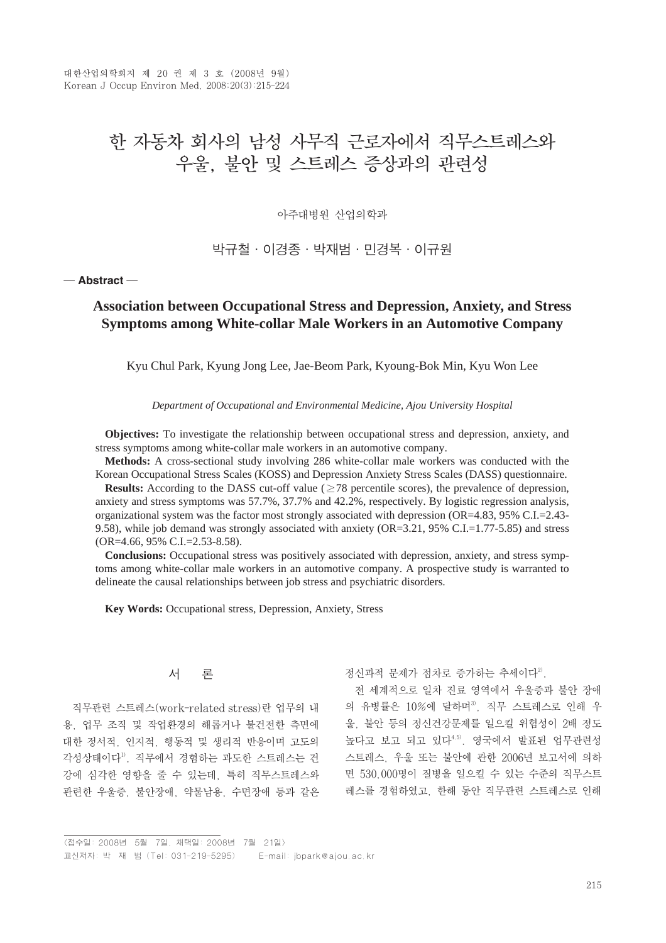대한산업의학회지 제 20 권 제 3 호 (2008년 9월) Korean J Occup Environ Med, 2008;20(3):215-224

# 한 자동차 회사의 남성 사무직 근로자에서 직무스트레스와 우울, 불안 및 스트레스 증상과의 관련성

아주대병원 산업의학과

# 박규철∙이경종∙박재범∙민경복∙이규원

#### ─ **Abstract** ─

# **Association between Occupational Stress and Depression, Anxiety, and Stress Symptoms among White-collar Male Workers in an Automotive Company**

Kyu Chul Park, Kyung Jong Lee, Jae-Beom Park, Kyoung-Bok Min, Kyu Won Lee

*Department of Occupational and Environmental Medicine, Ajou University Hospital*

**Objectives:** To investigate the relationship between occupational stress and depression, anxiety, and stress symptoms among white-collar male workers in an automotive company.

**Methods:** A cross-sectional study involving 286 white-collar male workers was conducted with the Korean Occupational Stress Scales (KOSS) and Depression Anxiety Stress Scales (DASS) questionnaire.

**Results:** According to the DASS cut-off value ( $\geq$ 78 percentile scores), the prevalence of depression, anxiety and stress symptoms was 57.7%, 37.7% and 42.2%, respectively. By logistic regression analysis, organizational system was the factor most strongly associated with depression (OR=4.83, 95% C.I.=2.43- 9.58), while job demand was strongly associated with anxiety (OR=3.21, 95% C.I.=1.77-5.85) and stress (OR=4.66, 95% C.I.=2.53-8.58).

**Conclusions:** Occupational stress was positively associated with depression, anxiety, and stress symptoms among white-collar male workers in an automotive company. A prospective study is warranted to delineate the causal relationships between job stress and psychiatric disorders.

**Key Words:** Occupational stress, Depression, Anxiety, Stress

## 서 론

직무관련 스트레스(work-related stress)란 업무의 내 용, 업무 조직 및 작업환경의 해롭거나 불건전한 측면에 대한 정서적, 인지적, 행동적 및 생리적 반응이며 고도의 각성상태이다1). 직무에서 경험하는 과도한 스트레스는 건 강에 심각한 영향을 줄 수 있는데, 특히 직무스트레스와 관련한 우울증, 불안장애, 약물남용, 수면장애 등과 같은

정신과적 문제가 점차로 증가하는 추세이다<sup>2)</sup>.

전 세계적으로 일차 진료 영역에서 우울증과 불안 장애 의 유병률은 10%에 달하며3), 직무 스트레스로 인해 우 울, 불안 등의 정신건강문제를 일으킬 위험성이 2배 정도 높다고 보고 되고 있다4,5). 영국에서 발표된 업무관련성 스트레스, 우울 또는 불안에 관한 2006년 보고서에 의하 면 530,000명이 질병을 일으킬 수 있는 수준의 직무스트 레스를 경험하였고, 한해 동안 직무관련 스트레스로 인해

<sup>&</sup>lt;접수일: 2008년 5월 7일, 채택일: 2008년 7월 21일> 교신저자: 박 재 범 (Tel: 031-219-5295) E-mail: jbpark@ajou.ac.kr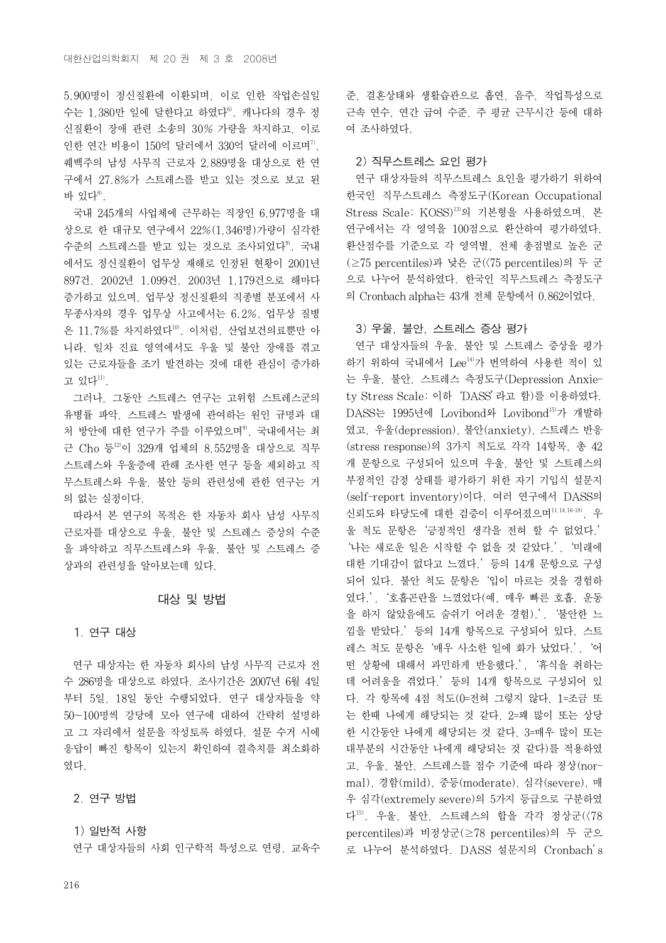5,900명이 정신질환에 이환되며, 이로 인한 작업손실일 수는 1,380만 일에 달한다고 하였다6). 캐나다의 경우 정 신질환이 장애 관련 소송의 30% 가량을 차지하고, 이로 인한 연간 비용이 150억 달러에서 330억 달러에 이르며<sup>7</sup>. 퀘백주의 남성 사무직 근로자 2,889명을 대상으로 한 연 구에서 27.8%가 스트레스를 받고 있는 것으로 보고 된 바 있다<sup>8)</sup>.

국내 245개의 사업체에 근무하는 직장인 6,977명을 대 상으로 한 대규모 연구에서 22%(1,346명)가량이 심각한 수준의 스트레스를 받고 있는 것으로 조사되었다<sup>9)</sup>. 국내 에서도 정신질환이 업무상 재해로 인정된 현황이 2001년 897건, 2002년 1,099건, 2003년 1,179건으로 해마다 증가하고 있으며, 업무상 정신질환의 직종별 분포에서 사 무종사자의 경우 업무상 사고에서는 6.2%, 업무상 질병 은  $11.7\%$ 를 차지하였다 $^{10}$ . 이처럼, 산업보건의료뿐만 아 니라, 일차 진료 영역에서도 우울 및 불안 장애를 겪고 있는 근로자들을 조기 발견하는 것에 대한 관심이 증가하 고 있다<sup>11)</sup>.

그러나, 그동안 스트레스 연구는 고위험 스트레스군의 유병률 파악, 스트레스 발생에 관여하는 원인 규명과 대 처 방안에 대한 연구가 주를 이루었으며<sup>9)</sup>, 국내에서는 최 근 Cho 등<sup>12</sup>이 329개 업체의 8,552명을 대상으로 직무 스트레스와 우울증에 관해 조사한 연구 등을 제외하고 직 무스트레스와 우울, 불안 등의 관련성에 관한 연구는 거 의 없는 실정이다.

따라서 본 연구의 목적은 한 자동차 회사 남성 사무직 근로자를 대상으로 우울, 불안 및 스트레스 증상의 수준 을 파악하고 직무스트레스와 우울, 불안 및 스트레스 증 상과의 관련성을 알아보는데 있다.

#### 대상 및 방법

## 1. 연구 대상

연구 대상자는 한 자동차 회사의 남성 사무직 근로자 전 수 286명을 대상으로 하였다. 조사기간은 2007년 6월 4일 부터 5일, 18일 동안 수행되었다. 연구 대상자들을 약 50~100명씩 강당에 모아 연구에 대하여 간략히 설명하 고 그 자리에서 설문을 작성토록 하였다. 설문 수거 시에 응답이 빠진 항목이 있는지 확인하여 결측치를 최소화하 였다.

#### 2. 연구 방법

## 1) 일반적 사항

연구 대상자들의 사회 인구학적 특성으로 연령, 교육수

준, 결혼상태와 생활습관으로 흡연, 음주, 작업특성으로 근속 연수, 연간 급여 수준, 주 평균 근무시간 등에 대하 여 조사하였다.

## 2) 직무스트레스 요인 평가

연구 대상자들의 직무스트레스 요인을 평가하기 위하여 한국인 직무스트레스 측정도구(Korean Occupational Stress Scale; KOSS)13)의 기본형을 사용하였으며, 본 연구에서는 각 영역을 100점으로 환산하여 평가하였다. 환산점수를 기준으로 각 영역별, 전체 총점별로 높은 군 (≥75 percentiles)과 낮은 군(<75 percentiles)의 두 군 으로 나누어 분석하였다. 한국인 직무스트레스 측정도구 의 Cronbach alpha는 43개 전체 문항에서 0.862이었다.

#### 3) 우울, 불안, 스트레스 증상 평가

연구 대상자들의 우울, 불안 및 스트레스 증상을 평가 하기 위하여 국내에서 Lee<sup>14)</sup>가 번역하여 사용한 적이 있 는 우울, 불안, 스트레스 측정도구(Depression Anxiety Stress Scale; 이하'DASS'라고 함)를 이용하였다. DASS는 1995년에 Lovibond와 Lovibond15)가 개발하 였고, 우울(depression), 불안(anxiety), 스트레스 반응 (stress response)의 3가지 척도로 각각 14항목, 총 42 개 문항으로 구성되어 있으며 우울, 불안 및 스트레스의 부정적인 감정 상태를 평가하기 위한 자기 기입식 설문지 (self-report inventory)이다. 여러 연구에서 DASS의 신뢰도와 타당도에 대한 검증이 이루어졌으며11,14,16-18), 우 울 척도 문항은'긍정적인 생각을 전혀 할 수 없었다.' '나는 새로운 일은 시작할 수 없을 것 같았다.', '미래에 대한 기대감이 없다고 느꼈다.'등의 14개 문항으로 구성 되어 있다. 불안 척도 문항은'입이 마르는 것을 경험하 였다.', '호흡곤란을 느꼈었다(예, 매우 빠른 호흡, 운동 을 하지 않았음에도 숨쉬기 어려운 경험).', '불안한 느 낌을 받았다.'등의 14개 항목으로 구성되어 있다. 스트 레스 척도 문항은'매우 사소한 일에 화가 났었다.', '어 떤 상황에 대해서 과민하게 반응했다.', '휴식을 취하는 데 어려움을 겪었다.'등의 14개 항목으로 구성되어 있 다. 각 항목에 4점 척도(0=전혀 그렇지 않다, 1=조금 또 는 한때 나에게 해당되는 것 같다, 2=꽤 많이 또는 상당 한 시간동안 나에게 해당되는 것 같다, 3=매우 많이 또는 대부분의 시간동안 나에게 해당되는 것 같다)를 적용하였 고, 우울, 불안, 스트레스를 점수 기준에 따라 정상(normal), 경함(mild), 중등(moderate), 심각(severe), 매 우 심각(extremely severe)의 5가지 등급으로 구분하였 다15). 우울, 불안, 스트레스의 합을 각각 정상군(<78 percentiles)과 비정상군(≥78 percentiles)의 두 군으 로 나누어 분석하였다. DASS 설문지의 Cronbach's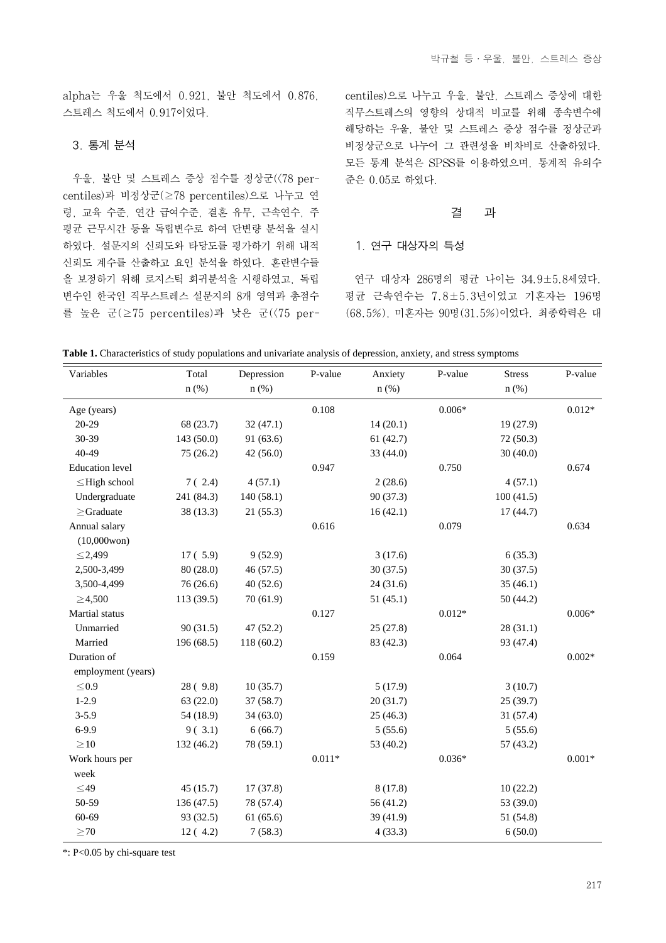alpha는 우울 척도에서 0.921, 불안 척도에서 0.876, 스트레스 척도에서 0.917이었다.

#### 3. 통계 분석

우울, 불안 및 스트레스 증상 점수를 정상군(<78 percentiles)과 비정상군(≥78 percentiles)으로 나누고 연 령, 교육 수준, 연간 급여수준, 결혼 유무, 근속연수, 주 평균 근무시간 등을 독립변수로 하여 단변량 분석을 실시 하였다. 설문지의 신뢰도와 타당도를 평가하기 위해 내적 신뢰도 계수를 산출하고 요인 분석을 하였다. 혼란변수들 을 보정하기 위해 로지스틱 회귀분석을 시행하였고, 독립 변수인 한국인 직무스트레스 설문지의 8개 영역과 총점수 를 높은 군(≥75 percentiles)과 낮은 군(<75 percentiles)으로 나누고 우울, 불안, 스트레스 증상에 대한 직무스트레스의 영향의 상대적 비교를 위해 종속변수에 해당하는 우울, 불안 및 스트레스 증상 점수를 정상군과 비정상군으로 나누어 그 관련성을 비차비로 산출하였다. 모든 통계 분석은 SPSS를 이용하였으며, 통계적 유의수 준은 0.05로 하였다.

#### 결 과

#### 1. 연구 대상자의 특성

연구 대상자 286명의 평균 나이는 34.9±5.8세였다. 평균 근속연수는 7.8±5.3년이었고 기혼자는 196명 (68.5%), 미혼자는 90명(31.5%)이었다. 최종학력은 대

**Table 1.** Characteristics of study populations and univariate analysis of depression, anxiety, and stress symptoms

| Variables              | Total      | Depression | P-value  | Anxiety   | P-value  | <b>Stress</b> | P-value  |
|------------------------|------------|------------|----------|-----------|----------|---------------|----------|
|                        | $n$ (%)    | $n$ (%)    |          | $n$ (%)   |          | $n$ (%)       |          |
| Age (years)            |            |            | 0.108    |           | $0.006*$ |               | $0.012*$ |
| 20-29                  | 68 (23.7)  | 32(47.1)   |          | 14(20.1)  |          | 19 (27.9)     |          |
| 30-39                  | 143 (50.0) | 91(63.6)   |          | 61(42.7)  |          | 72 (50.3)     |          |
| 40-49                  | 75(26.2)   | 42(56.0)   |          | 33 (44.0) |          | 30(40.0)      |          |
| <b>Education</b> level |            |            | 0.947    |           | 0.750    |               | 0.674    |
| $\leq$ High school     | 7(2.4)     | 4(57.1)    |          | 2(28.6)   |          | 4(57.1)       |          |
| Undergraduate          | 241 (84.3) | 140(58.1)  |          | 90 (37.3) |          | 100(41.5)     |          |
| $\geq$ Graduate        | 38 (13.3)  | 21(55.3)   |          | 16(42.1)  |          | 17(44.7)      |          |
| Annual salary          |            |            | 0.616    |           | 0.079    |               | 0.634    |
| $(10,000$ won $)$      |            |            |          |           |          |               |          |
| $\leq$ 2,499           | 17(5.9)    | 9(52.9)    |          | 3(17.6)   |          | 6(35.3)       |          |
| 2,500-3,499            | 80(28.0)   | 46 (57.5)  |          | 30(37.5)  |          | 30(37.5)      |          |
| 3,500-4,499            | 76 (26.6)  | 40(52.6)   |          | 24(31.6)  |          | 35(46.1)      |          |
| $\geq 4,500$           | 113(39.5)  | 70(61.9)   |          | 51(45.1)  |          | 50 (44.2)     |          |
| Martial status         |            |            | 0.127    |           | $0.012*$ |               | $0.006*$ |
| Unmarried              | 90(31.5)   | 47 (52.2)  |          | 25(27.8)  |          | 28(31.1)      |          |
| Married                | 196 (68.5) | 118(60.2)  |          | 83 (42.3) |          | 93 (47.4)     |          |
| Duration of            |            |            | 0.159    |           | 0.064    |               | $0.002*$ |
| employment (years)     |            |            |          |           |          |               |          |
| ${\leq}0.9$            | 28(9.8)    | 10(35.7)   |          | 5(17.9)   |          | 3(10.7)       |          |
| $1-2.9$                | 63(22.0)   | 37(58.7)   |          | 20(31.7)  |          | 25(39.7)      |          |
| $3 - 5.9$              | 54 (18.9)  | 34(63.0)   |          | 25(46.3)  |          | 31 (57.4)     |          |
| $6 - 9.9$              | 9(3.1)     | 6(66.7)    |          | 5(55.6)   |          | 5(55.6)       |          |
| $\geq$ 10              | 132 (46.2) | 78 (59.1)  |          | 53 (40.2) |          | 57(43.2)      |          |
| Work hours per         |            |            | $0.011*$ |           | $0.036*$ |               | $0.001*$ |
| week                   |            |            |          |           |          |               |          |
| $\leq$ 49              | 45(15.7)   | 17(37.8)   |          | 8(17.8)   |          | 10(22.2)      |          |
| 50-59                  | 136 (47.5) | 78 (57.4)  |          | 56 (41.2) |          | 53 (39.0)     |          |
| $60 - 69$              | 93 (32.5)  | 61(65.6)   |          | 39 (41.9) |          | 51 (54.8)     |          |
| $\geq$ 70              | 12(4.2)    | 7(58.3)    |          | 4(33.3)   |          | 6(50.0)       |          |

\*: P<0.05 by chi-square test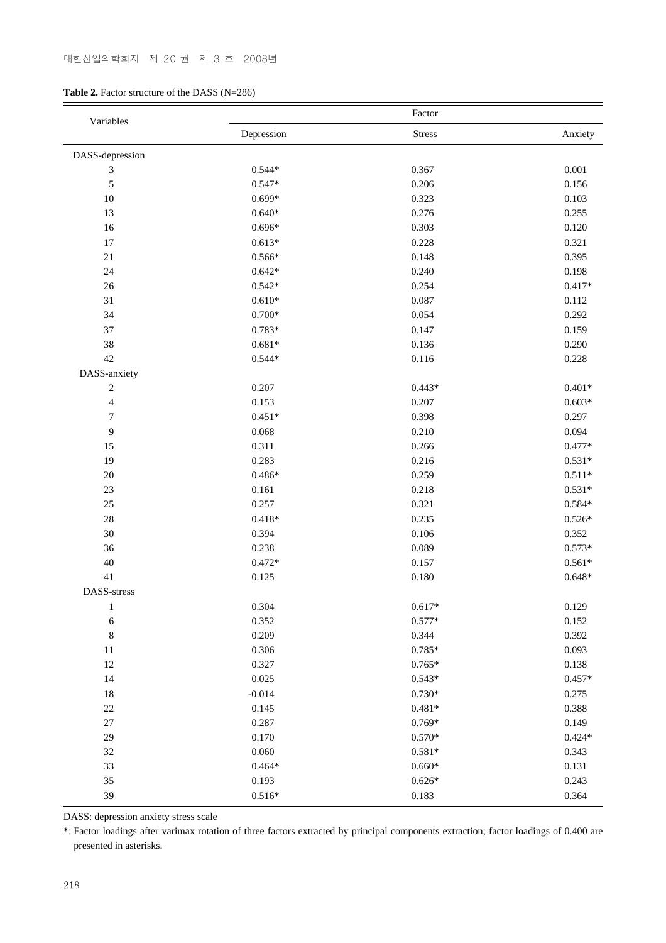## 대한산업의학회지 제 20 권 제 3 호 2008년

## **Table 2.** Factor structure of the DASS (N=286)

| Variables                   |            | Factor        |          |
|-----------------------------|------------|---------------|----------|
|                             | Depression | <b>Stress</b> | Anxiety  |
| DASS-depression             |            |               |          |
| $\ensuremath{\mathfrak{Z}}$ | $0.544*$   | 0.367         | 0.001    |
| $\sqrt{5}$                  | $0.547*$   | 0.206         | 0.156    |
| 10                          | $0.699*$   | 0.323         | 0.103    |
| 13                          | $0.640*$   | 0.276         | 0.255    |
| 16                          | $0.696*$   | 0.303         | 0.120    |
| 17                          | $0.613*$   | 0.228         | 0.321    |
| 21                          | $0.566*$   | 0.148         | 0.395    |
| 24                          | $0.642*$   | 0.240         | 0.198    |
| 26                          | $0.542*$   | 0.254         | $0.417*$ |
| 31                          | $0.610*$   | 0.087         | 0.112    |
| 34                          | $0.700*$   | 0.054         | 0.292    |
| 37                          | $0.783*$   | 0.147         | 0.159    |
| 38                          | $0.681*$   | 0.136         | 0.290    |
| 42                          | $0.544*$   | 0.116         | 0.228    |
| DASS-anxiety                |            |               |          |
| $\sqrt{2}$                  | 0.207      | $0.443*$      | $0.401*$ |
| $\overline{4}$              | 0.153      | 0.207         | $0.603*$ |
| $\boldsymbol{7}$            | $0.451*$   | 0.398         | 0.297    |
| 9                           | 0.068      | 0.210         | 0.094    |
| 15                          | 0.311      | 0.266         | $0.477*$ |
| 19                          | 0.283      | 0.216         | $0.531*$ |
| 20                          | $0.486*$   | 0.259         | $0.511*$ |
| 23                          | 0.161      | 0.218         | $0.531*$ |
| $25\,$                      | 0.257      | 0.321         | $0.584*$ |
| 28                          | $0.418*$   | 0.235         | $0.526*$ |
| 30                          | 0.394      | 0.106         | 0.352    |
| 36                          | 0.238      | 0.089         | $0.573*$ |
| 40                          | $0.472*$   | 0.157         | $0.561*$ |
| 41                          | 0.125      | 0.180         | $0.648*$ |
| DASS-stress                 |            |               |          |
| $\mathbf{1}$                | 0.304      | $0.617*$      | 0.129    |
| $\sqrt{6}$                  | 0.352      | $0.577*$      | 0.152    |
| $\,$ 8 $\,$                 | 0.209      | 0.344         | 0.392    |
| 11                          | 0.306      | $0.785*$      | 0.093    |
| 12                          | 0.327      | $0.765*$      | 0.138    |
| 14                          | 0.025      | $0.543*$      | $0.457*$ |
| 18                          | $-0.014$   | $0.730*$      | 0.275    |
| $22\,$                      | 0.145      | $0.481*$      | 0.388    |
| $27\,$                      | 0.287      | $0.769*$      | 0.149    |
| 29                          | 0.170      | $0.570*$      | $0.424*$ |
| 32                          | 0.060      | $0.581*$      | 0.343    |
| 33                          | $0.464*$   | $0.660*$      | 0.131    |
| 35                          | 0.193      | $0.626*$      | 0.243    |
| 39                          | $0.516*$   | 0.183         | 0.364    |
|                             |            |               |          |

DASS: depression anxiety stress scale

\*: Factor loadings after varimax rotation of three factors extracted by principal components extraction; factor loadings of 0.400 are presented in asterisks.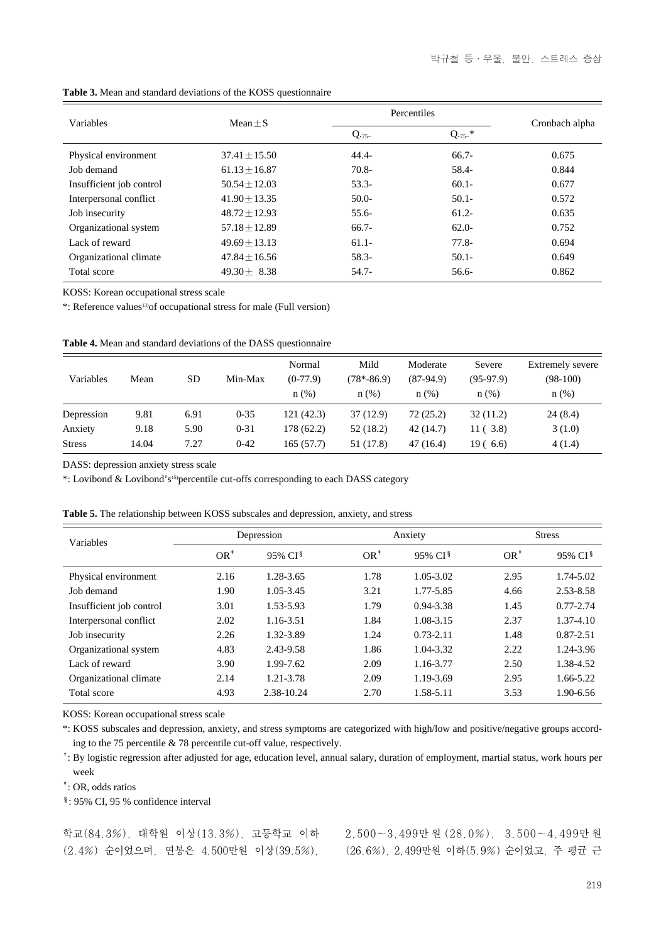| Variables                | Mean $\pm S$      |          | Percentiles |                |  |  |
|--------------------------|-------------------|----------|-------------|----------------|--|--|
|                          |                   | $Q.75-$  | $Q.75^{-*}$ | Cronbach alpha |  |  |
| Physical environment     | $37.41 + 15.50$   | $44.4 -$ | $66.7-$     | 0.675          |  |  |
| Job demand               | $61.13 + 16.87$   | $70.8 -$ | 58.4-       | 0.844          |  |  |
| Insufficient job control | $50.54 + 12.03$   | $53.3-$  | $60.1 -$    | 0.677          |  |  |
| Interpersonal conflict   | $41.90 + 13.35$   | $50.0-$  | $50.1 -$    | 0.572          |  |  |
| Job insecurity           | $48.72 \pm 12.93$ | $55.6-$  | $61.2 -$    | 0.635          |  |  |
| Organizational system    | $57.18 + 12.89$   | $66.7-$  | $62.0-$     | 0.752          |  |  |
| Lack of reward           | $49.69 + 13.13$   | $61.1 -$ | $77.8 -$    | 0.694          |  |  |
| Organizational climate   | $47.84 \pm 16.56$ | $58.3 -$ | $50.1 -$    | 0.649          |  |  |
| Total score              | $49.30 + 8.38$    | $54.7-$  | $56.6-$     | 0.862          |  |  |

**Table 3.** Mean and standard deviations of the KOSS questionnaire

KOSS: Korean occupational stress scale

\*: Reference values13)of occupational stress for male (Full version)

|  |  |  |  | <b>Table 4.</b> Mean and standard deviations of the DASS questionnaire |  |  |  |  |
|--|--|--|--|------------------------------------------------------------------------|--|--|--|--|
|--|--|--|--|------------------------------------------------------------------------|--|--|--|--|

| Variables     | Mean  | SD   | Min-Max  | Normal<br>$(0-77.9)$<br>$n$ (%) | Mild<br>$(78*-86.9)$<br>n(%) | Moderate<br>$(87-94.9)$<br>$n$ (%) | Severe<br>$(95-97.9)$<br>$n$ (%) | Extremely severe<br>$(98-100)$<br>$n$ (%) |
|---------------|-------|------|----------|---------------------------------|------------------------------|------------------------------------|----------------------------------|-------------------------------------------|
| Depression    | 9.81  | 6.91 | $0 - 35$ | 121(42.3)                       | 37(12.9)                     | 72(25.2)                           | 32(11.2)                         | 24(8.4)                                   |
| Anxiety       | 9.18  | 5.90 | $0 - 31$ | 178 (62.2)                      | 52(18.2)                     | 42(14.7)                           | 11(3.8)                          | 3(1.0)                                    |
| <b>Stress</b> | 14.04 | 7.27 | $0 - 42$ | 165(57.7)                       | 51 (17.8)                    | 47(16.4)                           | 19(6.6)                          | 4(1.4)                                    |

DASS: depression anxiety stress scale

\*: Lovibond & Lovibond's15)percentile cut-offs corresponding to each DASS category

| <b>Table 5.</b> The relationship between KOSS subscales and depression, anxiety, and stress |                |                     |                |                     |               |                     |
|---------------------------------------------------------------------------------------------|----------------|---------------------|----------------|---------------------|---------------|---------------------|
| Variables                                                                                   |                | Depression          | Anxiety        |                     | <b>Stress</b> |                     |
|                                                                                             | $OR^{\dagger}$ | 95% CI <sup>§</sup> | $OR^{\dagger}$ | 95% CI <sup>§</sup> | $OR^*$        | 95% CI <sup>§</sup> |
| Physical environment                                                                        | 2.16           | 1.28-3.65           | 1.78           | $1.05 - 3.02$       | 2.95          | 1.74-5.02           |
| Job demand                                                                                  | 1.90           | 1.05-3.45           | 3.21           | 1.77-5.85           | 4.66          | 2.53-8.58           |
| Insufficient job control                                                                    | 3.01           | 1.53-5.93           | 1.79           | 0.94-3.38           | 1.45          | $0.77 - 2.74$       |
| Interpersonal conflict                                                                      | 2.02           | 1.16-3.51           | 1.84           | 1.08-3.15           | 2.37          | 1.37-4.10           |
| Job insecurity                                                                              | 2.26           | 1.32-3.89           | 1.24           | $0.73 - 2.11$       | 1.48          | $0.87 - 2.51$       |
| Organizational system                                                                       | 4.83           | 2.43-9.58           | 1.86           | 1.04-3.32           | 2.22          | 1.24-3.96           |
| Lack of reward                                                                              | 3.90           | 1.99-7.62           | 2.09           | 1.16-3.77           | 2.50          | 1.38-4.52           |

**Table 5.** The relationship between KOSS subscales and depression, anxiety, and stress

KOSS: Korean occupational stress scale

\*: KOSS subscales and depression, anxiety, and stress symptoms are categorized with high/low and positive/negative groups according to the 75 percentile & 78 percentile cut-off value, respectively.

Organizational climate 2.14 1.21-3.78 2.09 1.19-3.69 2.95 1.66-5.22 Total score 4.93 2.38-10.24 2.70 1.58-5.11 3.53 1.90-6.56

�: By logistic regression after adjusted for age, education level, annual salary, duration of employment, martial status, work hours per week

�: OR, odds ratios

�: 95% CI, 95 % confidence interval

학교(84.3%), 대학원 이상(13.3%), 고등학교 이하 (2.4%) 순이었으며, 연봉은 4,500만원 이상(39.5%),

2,500~3,499만 원 (28.0%), 3,500~4,499만 원 (26.6%), 2,499만원 이하(5.9%) 순이었고, 주 평균 근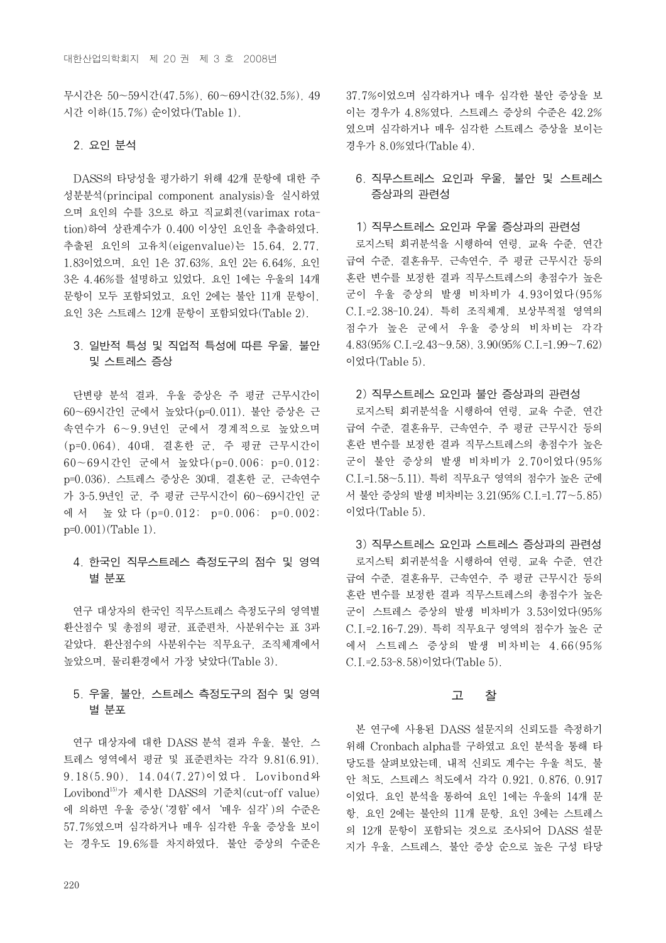무시간은 50~59시간(47.5%), 60~69시간(32.5%), 49 시간 이하(15.7%) 순이었다(Table 1).

## 2. 요인 분석

DASS의 타당성을 평가하기 위해 42개 문항에 대한 주 성분분석(principal component analysis)을 실시하였 으며 요인의 수를 3으로 하고 직교회전(varimax rotation)하여 상관계수가 0.400 이상인 요인을 추출하였다. 추출된 요인의 고유치(eigenvalue)는 15.64, 2.77, 1.83이었으며, 요인 1은 37.63%, 요인 2는 6.64%, 요인 3은 4.46%를 설명하고 있었다. 요인 1에는 우울의 14개 문항이 모두 포함되었고, 요인 2에는 불안 11개 문항이, 요인 3은 스트레스 12개 문항이 포함되었다(Table 2).

# 3. 일반적 특성 및 직업적 특성에 따른 우울, 불안 및 스트레스 증상

단변량 분석 결과, 우울 증상은 주 평균 근무시간이 60~69시간인 군에서 높았다(p=0.011). 불안 증상은 근 속연수가 6~9.9년인 군에서 경계적으로 높았으며 (p=0.064), 40대, 결혼한 군, 주 평균 근무시간이 60~69시간인 군에서 높았다(p=0.006; p=0.012; p=0.036). 스트레스 증상은 30대, 결혼한 군, 근속연수 가 3-5.9년인 군, 주 평균 근무시간이 60~69시간인 군 에 서 높 았 다 (p=0.012; p=0.006; p=0.002; p=0.001)(Table 1).

# 4. 한국인 직무스트레스 측정도구의 점수 및 영역 별 분포

연구 대상자의 한국인 직무스트레스 측정도구의 영역별 환산점수 및 총점의 평균, 표준편차, 사분위수는 표 3과 같았다. 환산점수의 사분위수는 직무요구, 조직체계에서 높았으며, 물리환경에서 가장 낮았다(Table 3).

## 5. 우울, 불안, 스트레스 측정도구의 점수 및 영역 별 분포

연구 대상자에 대한 DASS 분석 결과 우울, 불안, 스 트레스 영역에서 평균 및 표준편차는 각각 9.81(6.91), 9.18(5.90), 14.04(7.27)이었다. Lovibond와 Lovibond15)가 제시한 DASS의 기준치(cut-off value) 에 의하면 우울 증상('경함'에서'매우 심각')의 수준은 57.7%였으며 심각하거나 매우 심각한 우울 증상을 보이 는 경우도 19.6%를 차지하였다. 불안 증상의 수준은 37.7%이었으며 심각하거나 매우 심각한 불안 증상을 보 이는 경우가 4.8%였다. 스트레스 증상의 수준은 42.2% 였으며 심각하거나 매우 심각한 스트레스 증상을 보이는 경우가 8.0%였다(Table 4).

## 6. 직무스트레스 요인과 우울, 불안 및 스트레스 증상과의 관련성

#### 1) 직무스트레스 요인과 우울 증상과의 관련성

로지스틱 회귀분석을 시행하여 연령, 교육 수준, 연간 급여 수준, 결혼유무, 근속연수, 주 평균 근무시간 등의 혼란 변수를 보정한 결과 직무스트레스의 총점수가 높은 군이 우울 증상의 발생 비차비가 4.93이었다(95% C.I.=2.38-10.24). 특히 조직체계, 보상부적절 영역의 점수가 높은 군에서 우울 증상의 비차비는 각각 4.83(95% C.I.=2.43~9.58), 3.90(95% C.I.=1.99~7.62) 이었다(Table 5).

#### 2) 직무스트레스 요인과 불안 증상과의 관련성

로지스틱 회귀분석을 시행하여 연령, 교육 수준, 연간 급여 수준, 결혼유무, 근속연수, 주 평균 근무시간 등의 혼란 변수를 보정한 결과 직무스트레스의 총점수가 높은 군이 불안 증상의 발생 비차비가 2.70이었다(95% C.I.=1.58~5.11). 특히 직무요구 영역의 점수가 높은 군에 서 불안 증상의 발생 비차비는 3.21(95% C.I.=1.77~5.85) 이었다(Table 5).

3) 직무스트레스 요인과 스트레스 증상과의 관련성 로지스틱 회귀분석을 시행하여 연령, 교육 수준, 연간 급여 수준, 결혼유무, 근속연수, 주 평균 근무시간 등의 혼란 변수를 보정한 결과 직무스트레스의 총점수가 높은 군이 스트레스 증상의 발생 비차비가 3.53이었다(95% C.I.=2.16-7.29). 특히 직무요구 영역의 점수가 높은 군 에서 스트레스 증상의 발생 비차비는 4.66(95% C.I.=2.53-8.58)이었다(Table 5).

### 고 찰

본 연구에 사용된 DASS 설문지의 신뢰도를 측정하기 위해 Cronbach alpha를 구하였고 요인 분석을 통해 타 당도를 살펴보았는데, 내적 신뢰도 계수는 우울 척도, 불 안 척도, 스트레스 척도에서 각각 0.921, 0.876, 0.917 이었다. 요인 분석을 통하여 요인 1에는 우울의 14개 문 항, 요인 2에는 불안의 11개 문항, 요인 3에는 스트레스 의 12개 문항이 포함되는 것으로 조사되어 DASS 설문 지가 우울, 스트레스, 불안 증상 순으로 높은 구성 타당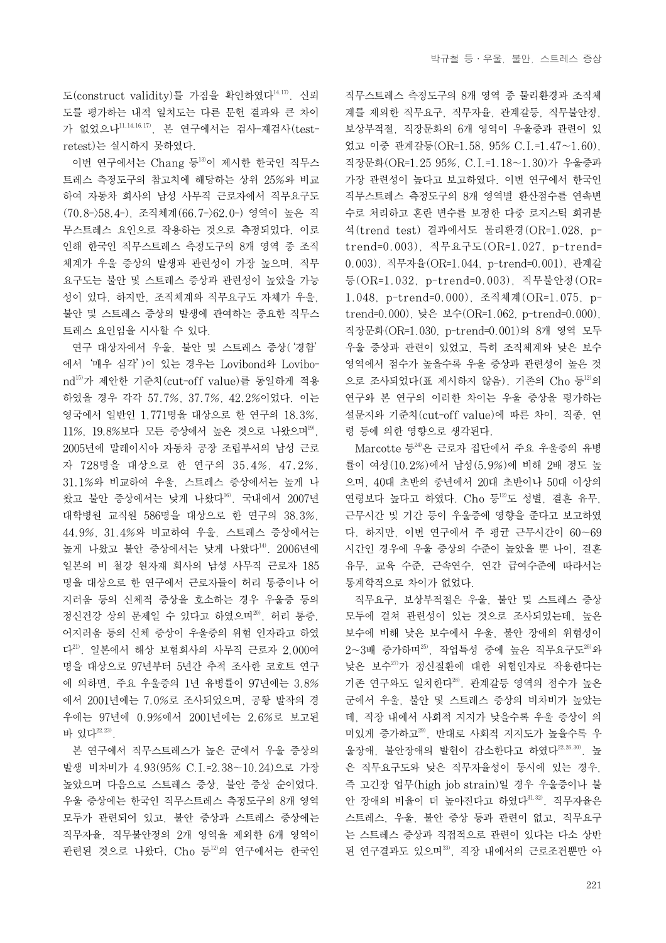도(construct validity)를 가짐을 확인하였다<sup>14,17)</sup>. 신뢰 도를 평가하는 내적 일치도는 다른 문헌 결과와 큰 차이 가 없었으나11,14,16,17), 본 연구에서는 검사-재검사(testretest)는 실시하지 못하였다.

이번 연구에서는 Chang 등13)이 제시한 한국인 직무스 트레스 측정도구의 참고치에 해당하는 상위 25%와 비교 하여 자동차 회사의 남성 사무직 근로자에서 직무요구도 (70.8->58.4-), 조직체계(66.7->62.0-) 영역이 높은 직 무스트레스 요인으로 작용하는 것으로 측정되었다. 이로 인해 한국인 직무스트레스 측정도구의 8개 영역 중 조직 체계가 우울 증상의 발생과 관련성이 가장 높으며, 직무 요구도는 불안 및 스트레스 증상과 관련성이 높았을 가능 성이 있다. 하지만, 조직체계와 직무요구도 자체가 우울, 불안 및 스트레스 증상의 발생에 관여하는 중요한 직무스 트레스 요인임을 시사할 수 있다.

연구 대상자에서 우울, 불안 및 스트레스 증상('경함' 에서'매우 심각')이 있는 경우는 Lovibond와 Lovibond15)가 제안한 기준치(cut-off value)를 동일하게 적용 하였을 경우 각각 57.7%, 37.7%, 42.2%이었다. 이는 영국에서 일반인 1,771명을 대상으로 한 연구의 18.3%, 11%, 19.8%보다 모든 증상에서 높은 것으로 나왔으며<sup>19)</sup>, 2005년에 말레이시아 자동차 공장 조립부서의 남성 근로 자 728명을 대상으로 한 연구의 35.4%, 47.2%, 31.1%와 비교하여 우울, 스트레스 증상에서는 높게 나 왔고 불안 증상에서는 낮게 나왔다16). 국내에서 2007년 대학병원 교직원 586명을 대상으로 한 연구의 38.3%, 44.9%, 31.4%와 비교하여 우울, 스트레스 증상에서는 높게 나왔고 불안 증상에서는 낮게 나왔다<sup>14)</sup>. 2006년에 일본의 비 철강 원자재 회사의 남성 사무직 근로자 185 명을 대상으로 한 연구에서 근로자들이 허리 통증이나 어 지러움 등의 신체적 증상을 호소하는 경우 우울증 등의 정신건강 상의 문제일 수 있다고 하였으며<sup>20</sup>, 허리 통증, 어지러움 등의 신체 증상이 우울증의 위험 인자라고 하였 다21). 일본에서 해상 보험회사의 사무직 근로자 2,000여 명을 대상으로 97년부터 5년간 추적 조사한 코호트 연구 에 의하면, 주요 우울증의 1년 유병률이 97년에는 3.8% 에서 2001년에는 7.0%로 조사되었으며, 공황 발작의 경 우에는 97년에 0.9%에서 2001년에는 2.6%로 보고된 바 있다 $^{22,23)}$ .

본 연구에서 직무스트레스가 높은 군에서 우울 증상의 발생 비차비가 4.93(95% C.I.=2.38~10.24)으로 가장 높았으며 다음으로 스트레스 증상, 불안 증상 순이었다. 우울 증상에는 한국인 직무스트레스 측정도구의 8개 영역 모두가 관련되어 있고, 불안 증상과 스트레스 증상에는 직무자율, 직무불안정의 2개 영역을 제외한 6개 영역이 관련된 것으로 나왔다. Cho 등<sup>12)</sup>의 연구에서는 한국인

직무스트레스 측정도구의 8개 영역 중 물리환경과 조직체 계를 제외한 직무요구, 직무자율, 관계갈등, 직무불안정, 보상부적절, 직장문화의 6개 영역이 우울증과 관련이 있 었고 이중 관계갈등(OR=1.58, 95% C.I.=1.47~1.60), 직장문화(OR=1.25 95%, C.I.=1.18~1.30)가 우울증과 가장 관련성이 높다고 보고하였다. 이번 연구에서 한국인 직무스트레스 측정도구의 8개 영역별 환산점수를 연속변 수로 처리하고 혼란 변수를 보정한 다중 로지스틱 회귀분 석(trend test) 결과에서도 물리환경(OR=1.028, ptrend=0.003), 직무요구도(OR=1.027, p-trend= 0.003), 직무자율(OR=1.044, p-trend=0.001), 관계갈 등(OR=1.032, p-trend=0.003), 직무불안정(OR= 1.048, p-trend=0.000), 조직체계(OR=1.075, ptrend=0.000), 낮은 보수(OR=1.062, p-trend=0.000), 직장문화(OR=1.030, p-trend=0.001)의 8개 영역 모두 우울 증상과 관련이 있었고, 특히 조직체계와 낮은 보수 영역에서 점수가 높을수록 우울 증상과 관련성이 높은 것 으로 조사되었다(표 제시하지 않음). 기존의 Cho 등<sup>12)</sup>의 연구와 본 연구의 이러한 차이는 우울 증상을 평가하는 설문지와 기준치(cut-off value)에 따른 차이, 직종, 연 령 등에 의한 영향으로 생각된다.

Marcotte 등24)은 근로자 집단에서 주요 우울증의 유병 률이 여성(10.2%)에서 남성(5.9%)에 비해 2배 정도 높 으며, 40대 초반의 중년에서 20대 초반이나 50대 이상의 연령보다 높다고 하였다. Cho 등12)도 성별, 결혼 유무, 근무시간 및 기간 등이 우울증에 영향을 준다고 보고하였 다. 하지만, 이번 연구에서 주 평균 근무시간이 60~69 시간인 경우에 우울 증상의 수준이 높았을 뿐 나이, 결혼 유무, 교육 수준, 근속연수, 연간 급여수준에 따라서는 통계학적으로 차이가 없었다.

직무요구, 보상부적절은 우울, 불안 및 스트레스 증상 모두에 걸쳐 관련성이 있는 것으로 조사되었는데, 높은 보수에 비해 낮은 보수에서 우울, 불안 장애의 위험성이  $2$ ~3배 증가하며 $^{25}$ , 작업특성 중에 높은 직무요구도 $^{26}$ 와 낮은 보수27)가 정신질환에 대한 위험인자로 작용한다는 기존 연구와도 일치한다28). 관계갈등 영역의 점수가 높은 군에서 우울, 불안 및 스트레스 증상의 비차비가 높았는 데, 직장 내에서 사회적 지지가 낮을수록 우울 증상이 의 미있게 증가하고29), 반대로 사회적 지지도가 높을수록 우 울장애, 불안장애의 발현이 감소한다고 하였다22,26,30). 높 은 직무요구도와 낮은 직무자율성이 동시에 있는 경우, 즉 고긴장 업무(high job strain)일 경우 우울증이나 불 안 장애의 비율이 더 높아진다고 하였다31,32). 직무자율은 스트레스, 우울, 불안 증상 등과 관련이 없고, 직무요구 는 스트레스 증상과 직접적으로 관련이 있다는 다소 상반 된 연구결과도 있으며33), 직장 내에서의 근로조건뿐만 아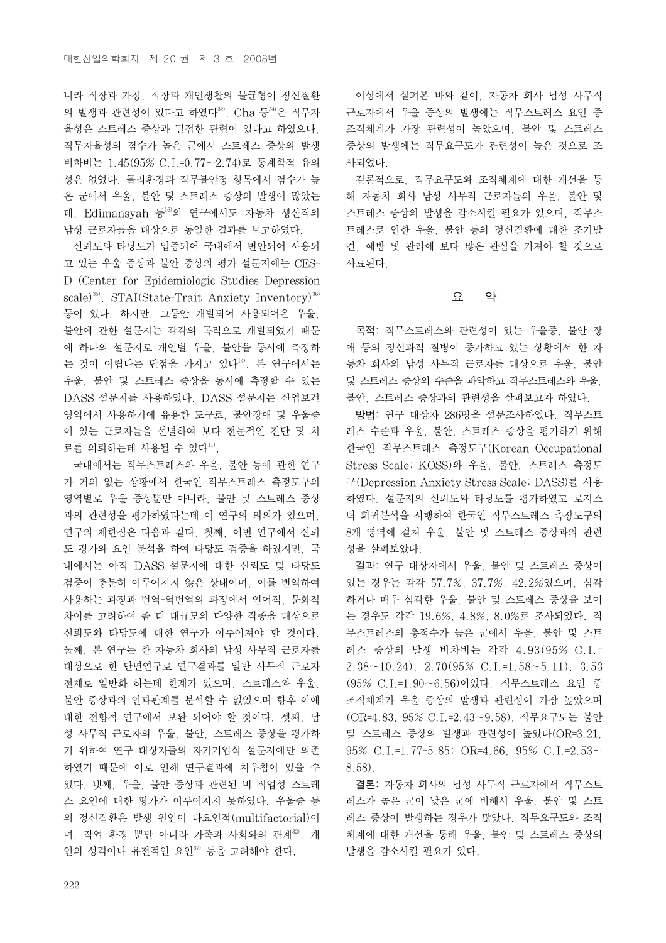니라 직장과 가정, 직장과 개인생활의 불균형이 정신질환 의 발생과 관련성이 있다고 하였다 $32$ . Cha 등 $34$ 은 직무자 율성은 스트레스 증상과 밀접한 관련이 있다고 하였으나, 직무자율성의 점수가 높은 군에서 스트레스 증상의 발생 비차비는 1.45(95% C.I.=0.77~2.74)로 통계학적 유의 성은 없었다. 물리환경과 직무불안정 항목에서 점수가 높 은 군에서 우울, 불안 및 스트레스 증상의 발생이 많았는 데, Edimansyah 등16)의 연구에서도 자동차 생산직의 남성 근로자들을 대상으로 동일한 결과를 보고하였다.

신뢰도와 타당도가 입증되어 국내에서 번안되어 사용되 고 있는 우울 증상과 불안 증상의 평가 설문지에는 CES-D (Center for Epidemiologic Studies Depression scale)<sup>35)</sup>, STAI(State-Trait Anxiety Inventory)<sup>36)</sup> 등이 있다. 하지만, 그동안 개발되어 사용되어온 우울, 불안에 관한 설문지는 각각의 목적으로 개발되었기 때문 에 하나의 설문지로 개인별 우울, 불안을 동시에 측정하 는 것이 어렵다는 단점을 가지고 있다<sup>14)</sup>. 본 연구에서는 우울, 불안 및 스트레스 증상을 동시에 측정할 수 있는 DASS 설문지를 사용하였다. DASS 설문지는 산업보건 영역에서 사용하기에 유용한 도구로, 불안장애 및 우울증 이 있는 근로자들을 선별하여 보다 전문적인 진단 및 치 료를 의뢰하는데 사용될 수 있다11).

국내에서는 직무스트레스와 우울, 불안 등에 관한 연구 가 거의 없는 상황에서 한국인 직무스트레스 측정도구의 영역별로 우울 증상뿐만 아니라, 불안 및 스트레스 증상 과의 관련성을 평가하였다는데 이 연구의 의의가 있으며, 연구의 제한점은 다음과 같다. 첫째, 이번 연구에서 신뢰 도 평가와 요인 분석을 하여 타당도 검증을 하였지만, 국 내에서는 아직 DASS 설문지에 대한 신뢰도 및 타당도 검증이 충분히 이루어지지 않은 상태이며, 이를 번역하여 사용하는 과정과 번역-역번역의 과정에서 언어적, 문화적 차이를 고려하여 좀 더 대규모의 다양한 직종을 대상으로 신뢰도와 타당도에 대한 연구가 이루어져야 할 것이다. 둘째, 본 연구는 한 자동차 회사의 남성 사무직 근로자를 대상으로 한 단면연구로 연구결과를 일반 사무직 근로자 전체로 일반화 하는데 한계가 있으며, 스트레스와 우울, 불안 증상과의 인과관계를 분석할 수 없었으며 향후 이에 대한 전향적 연구에서 보완 되어야 할 것이다. 셋째, 남 성 사무직 근로자의 우울, 불안, 스트레스 증상을 평가하 기 위하여 연구 대상자들의 자기기입식 설문지에만 의존 하였기 때문에 이로 인해 연구결과에 치우침이 있을 수 있다. 넷째, 우울, 불안 증상과 관련된 비 직업성 스트레 스 요인에 대한 평가가 이루어지지 못하였다. 우울증 등 의 정신질환은 발생 원인이 다요인적(multifactorial)이 며, 작업 환경 뿐만 아니라 가족과 사회와의 관계32, 개 인의 성격이나 유전적인 요인37) 등을 고려해야 한다.

이상에서 살펴본 바와 같이, 자동차 회사 남성 사무직 근로자에서 우울 증상의 발생에는 직무스트레스 요인 중 조직체계가 가장 관련성이 높았으며, 불안 및 스트레스 증상의 발생에는 직무요구도가 관련성이 높은 것으로 조 사되었다.

결론적으로, 직무요구도와 조직체계에 대한 개선을 통 해 자동차 회사 남성 사무직 근로자들의 우울, 불안 및 스트레스 증상의 발생을 감소시킬 필요가 있으며, 직무스 트레스로 인한 우울, 불안 등의 정신질환에 대한 조기발 견, 예방 및 관리에 보다 많은 관심을 가져야 할 것으로 사료된다.

#### 요 약

목적: 직무스트레스와 관련성이 있는 우울증, 불안 장 애 등의 정신과적 질병이 증가하고 있는 상황에서 한 자 동차 회사의 남성 사무직 근로자를 대상으로 우울, 불안 및 스트레스 증상의 수준을 파악하고 직무스트레스와 우울, 불안, 스트레스 증상과의 관련성을 살펴보고자 하였다.

방법: 연구 대상자 286명을 설문조사하였다. 직무스트 레스 수준과 우울, 불안, 스트레스 증상을 평가하기 위해 한국인 직무스트레스 측정도구(Korean Occupational Stress Scale; KOSS)와 우울, 불안, 스트레스 측정도 구(Depression Anxiety Stress Scale; DASS)를 사용 하였다. 설문지의 신뢰도와 타당도를 평가하였고 로지스 틱 회귀분석을 시행하여 한국인 직무스트레스 측정도구의 8개 영역에 걸쳐 우울, 불안 및 스트레스 증상과의 관련 성을 살펴보았다.

결과: 연구 대상자에서 우울, 불안 및 스트레스 증상이 있는 경우는 각각 57.7%, 37.7%, 42.2%였으며, 심각 하거나 매우 심각한 우울, 불안 및 스트레스 증상을 보이 는 경우도 각각 19.6%, 4.8%, 8.0%로 조사되었다. 직 무스트레스의 총점수가 높은 군에서 우울, 불안 및 스트 레스 증상의 발생 비차비는 각각 4.93(95% C.I.=  $2.38 \sim 10.24$ ,  $2.70(95\% \text{ C.1} = 1.58 \sim 5.11)$ ,  $3.53$ (95% C.I.=1.90~6.56)이었다. 직무스트레스 요인 중 조직체계가 우울 증상의 발생과 관련성이 가장 높았으며 (OR=4.83, 95% C.I.=2.43~9.58), 직무요구도는 불안 및 스트레스 증상의 발생과 관련성이 높았다(OR=3.21, 95% C.I.=1.77-5.85; OR=4.66, 95% C.I.=2.53~ 8.58).

결론: 자동차 회사의 남성 사무직 근로자에서 직무스트 레스가 높은 군이 낮은 군에 비해서 우울, 불안 및 스트 레스 증상이 발생하는 경우가 많았다. 직무요구도와 조직 체계에 대한 개선을 통해 우울, 불안 및 스트레스 증상의 발생을 감소시킬 필요가 있다.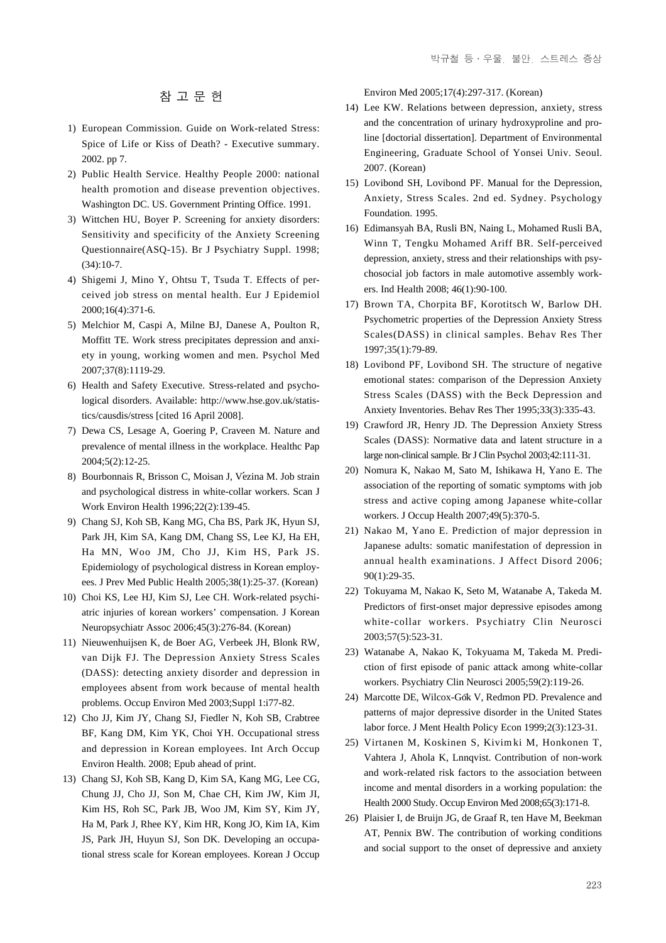# 참 고 문 헌

- 1) European Commission. Guide on Work-related Stress: Spice of Life or Kiss of Death? - Executive summary. 2002. pp 7.
- 02) Public Health Service. Healthy People 2000: national health promotion and disease prevention objectives. Washington DC. US. Government Printing Office. 1991.
- 03) Wittchen HU, Boyer P. Screening for anxiety disorders: Sensitivity and specificity of the Anxiety Screening Questionnaire(ASQ-15). Br J Psychiatry Suppl. 1998;  $(34):10-7.$
- 04) Shigemi J, Mino Y, Ohtsu T, Tsuda T. Effects of perceived job stress on mental health. Eur J Epidemiol 2000;16(4):371-6.
- 05) Melchior M, Caspi A, Milne BJ, Danese A, Poulton R, Moffitt TE. Work stress precipitates depression and anxiety in young, working women and men. Psychol Med 2007;37(8):1119-29.
- 06) Health and Safety Executive. Stress-related and psychological disorders. Available: http://www.hse.gov.uk/statistics/causdis/stress [cited 16 April 2008].
- 07) Dewa CS, Lesage A, Goering P, Craveen M. Nature and prevalence of mental illness in the workplace. Healthc Pap 2004;5(2):12-25.
- 8) Bourbonnais R, Brisson C, Moisan J, Vézina M. Job strain and psychological distress in white-collar workers. Scan J Work Environ Health 1996;22(2):139-45.
- 09) Chang SJ, Koh SB, Kang MG, Cha BS, Park JK, Hyun SJ, Park JH, Kim SA, Kang DM, Chang SS, Lee KJ, Ha EH, Ha MN, Woo JM, Cho JJ, Kim HS, Park JS. Epidemiology of psychological distress in Korean employees. J Prev Med Public Health 2005;38(1):25-37. (Korean)
- 10) Choi KS, Lee HJ, Kim SJ, Lee CH. Work-related psychiatric injuries of korean workers' compensation. J Korean Neuropsychiatr Assoc 2006;45(3):276-84. (Korean)
- 11) Nieuwenhuijsen K, de Boer AG, Verbeek JH, Blonk RW, van Dijk FJ. The Depression Anxiety Stress Scales (DASS): detecting anxiety disorder and depression in employees absent from work because of mental health problems. Occup Environ Med 2003;Suppl 1:i77-82.
- 12) Cho JJ, Kim JY, Chang SJ, Fiedler N, Koh SB, Crabtree BF, Kang DM, Kim YK, Choi YH. Occupational stress and depression in Korean employees. Int Arch Occup Environ Health. 2008; Epub ahead of print.
- 13) Chang SJ, Koh SB, Kang D, Kim SA, Kang MG, Lee CG, Chung JJ, Cho JJ, Son M, Chae CH, Kim JW, Kim JI, Kim HS, Roh SC, Park JB, Woo JM, Kim SY, Kim JY, Ha M, Park J, Rhee KY, Kim HR, Kong JO, Kim IA, Kim JS, Park JH, Huyun SJ, Son DK. Developing an occupational stress scale for Korean employees. Korean J Occup

Environ Med 2005;17(4):297-317. (Korean)

- 14) Lee KW. Relations between depression, anxiety, stress and the concentration of urinary hydroxyproline and proline [doctorial dissertation]. Department of Environmental Engineering, Graduate School of Yonsei Univ. Seoul. 2007. (Korean)
- 15) Lovibond SH, Lovibond PF. Manual for the Depression, Anxiety, Stress Scales. 2nd ed. Sydney. Psychology Foundation. 1995.
- 16) Edimansyah BA, Rusli BN, Naing L, Mohamed Rusli BA, Winn T, Tengku Mohamed Ariff BR. Self-perceived depression, anxiety, stress and their relationships with psychosocial job factors in male automotive assembly workers. Ind Health 2008; 46(1):90-100.
- 17) Brown TA, Chorpita BF, Korotitsch W, Barlow DH. Psychometric properties of the Depression Anxiety Stress Scales(DASS) in clinical samples. Behav Res Ther 1997;35(1):79-89.
- 18) Lovibond PF, Lovibond SH. The structure of negative emotional states: comparison of the Depression Anxiety Stress Scales (DASS) with the Beck Depression and Anxiety Inventories. Behav Res Ther 1995;33(3):335-43.
- 19) Crawford JR, Henry JD. The Depression Anxiety Stress Scales (DASS): Normative data and latent structure in a large non-clinical sample. Br J Clin Psychol 2003;42:111-31.
- 20) Nomura K, Nakao M, Sato M, Ishikawa H, Yano E. The association of the reporting of somatic symptoms with job stress and active coping among Japanese white-collar workers. J Occup Health 2007;49(5):370-5.
- 21) Nakao M, Yano E. Prediction of major depression in Japanese adults: somatic manifestation of depression in annual health examinations. J Affect Disord 2006; 90(1):29-35.
- 22) Tokuyama M, Nakao K, Seto M, Watanabe A, Takeda M. Predictors of first-onset major depressive episodes among white-collar workers. Psychiatry Clin Neurosci 2003;57(5):523-31.
- 23) Watanabe A, Nakao K, Tokyuama M, Takeda M. Prediction of first episode of panic attack among white-collar workers. Psychiatry Clin Neurosci 2005;59(2):119-26.
- 24) Marcotte DE, Wilcox-Gök V, Redmon PD. Prevalence and patterns of major depressive disorder in the United States labor force. J Ment Health Policy Econ 1999;2(3):123-31.
- 25) Virtanen M, Koskinen S, Kivim ki M, Honkonen T, Vahtera J, Ahola K, Lnnqvist. Contribution of non-work and work-related risk factors to the association between income and mental disorders in a working population: the Health 2000 Study. Occup Environ Med 2008;65(3):171-8.
- 26) Plaisier I, de Bruijn JG, de Graaf R, ten Have M, Beekman AT, Pennix BW. The contribution of working conditions and social support to the onset of depressive and anxiety